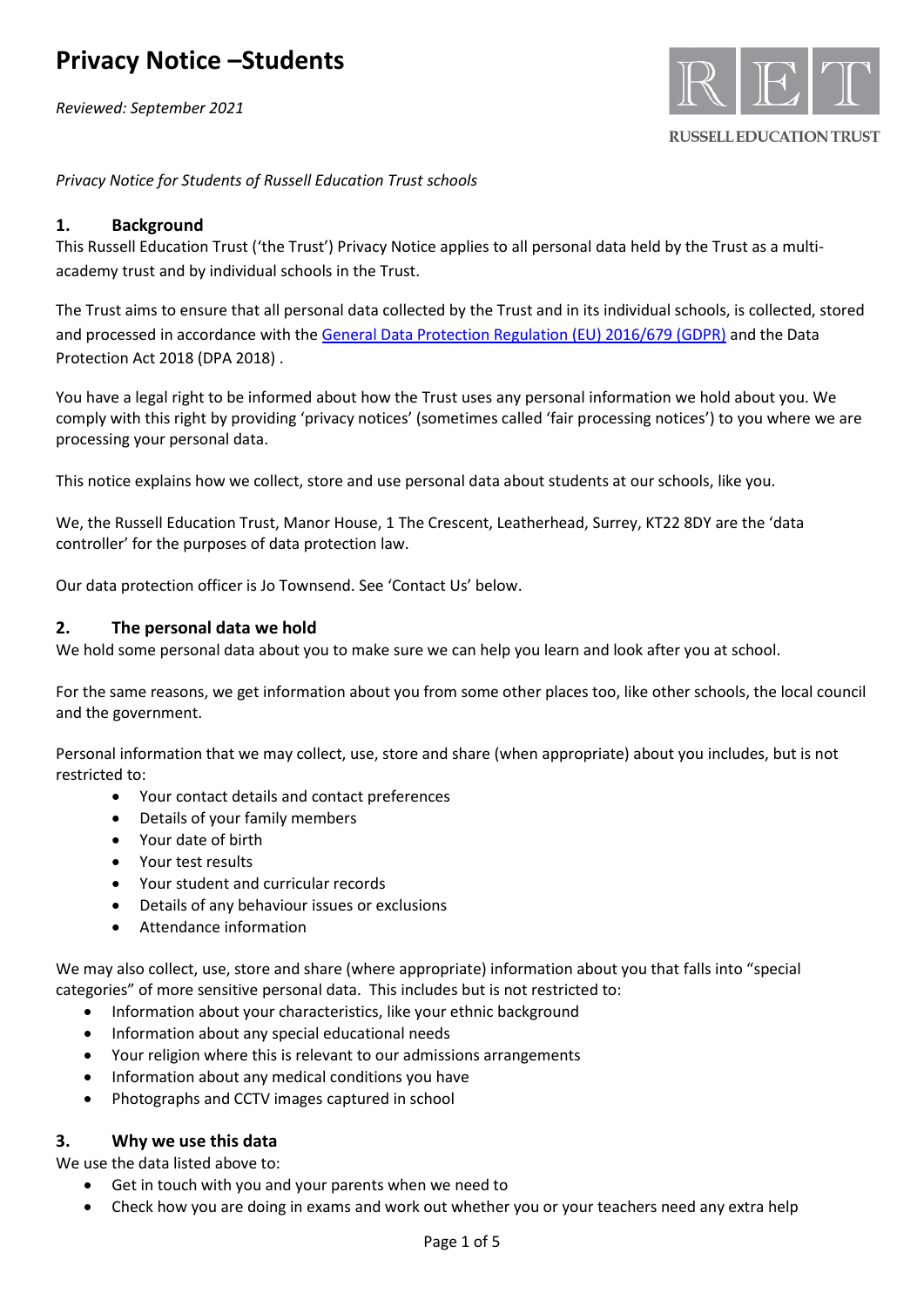*Reviewed: September 2021*



**RUSSELL EDUCATION TRUST** 

*Privacy Notice for Students of Russell Education Trust schools*

## **1. Background**

This Russell Education Trust ('the Trust') Privacy Notice applies to all personal data held by the Trust as a multiacademy trust and by individual schools in the Trust.

The Trust aims to ensure that all personal data collected by the Trust and in its individual schools, is collected, stored and processed in accordance with th[e General Data Protection Regulation \(EU\) 2016/679 \(GDPR\)](http://data.consilium.europa.eu/doc/document/ST-5419-2016-INIT/en/pdf) and the Data Protection Act 2018 (DPA 2018) .

You have a legal right to be informed about how the Trust uses any personal information we hold about you. We comply with this right by providing 'privacy notices' (sometimes called 'fair processing notices') to you where we are processing your personal data.

This notice explains how we collect, store and use personal data about students at our schools, like you.

We, the Russell Education Trust, Manor House, 1 The Crescent, Leatherhead, Surrey, KT22 8DY are the 'data controller' for the purposes of data protection law.

Our data protection officer is Jo Townsend. See 'Contact Us' below.

## **2. The personal data we hold**

We hold some personal data about you to make sure we can help you learn and look after you at school.

For the same reasons, we get information about you from some other places too, like other schools, the local council and the government.

Personal information that we may collect, use, store and share (when appropriate) about you includes, but is not restricted to:

- Your contact details and contact preferences
- Details of your family members
- Your date of birth
- Your test results
- Your student and curricular records
- Details of any behaviour issues or exclusions
- Attendance information

We may also collect, use, store and share (where appropriate) information about you that falls into "special categories" of more sensitive personal data. This includes but is not restricted to:

- Information about your characteristics, like your ethnic background
- Information about any special educational needs
- Your religion where this is relevant to our admissions arrangements
- Information about any medical conditions you have
- Photographs and CCTV images captured in school

### **3. Why we use this data**

We use the data listed above to:

- Get in touch with you and your parents when we need to
- Check how you are doing in exams and work out whether you or your teachers need any extra help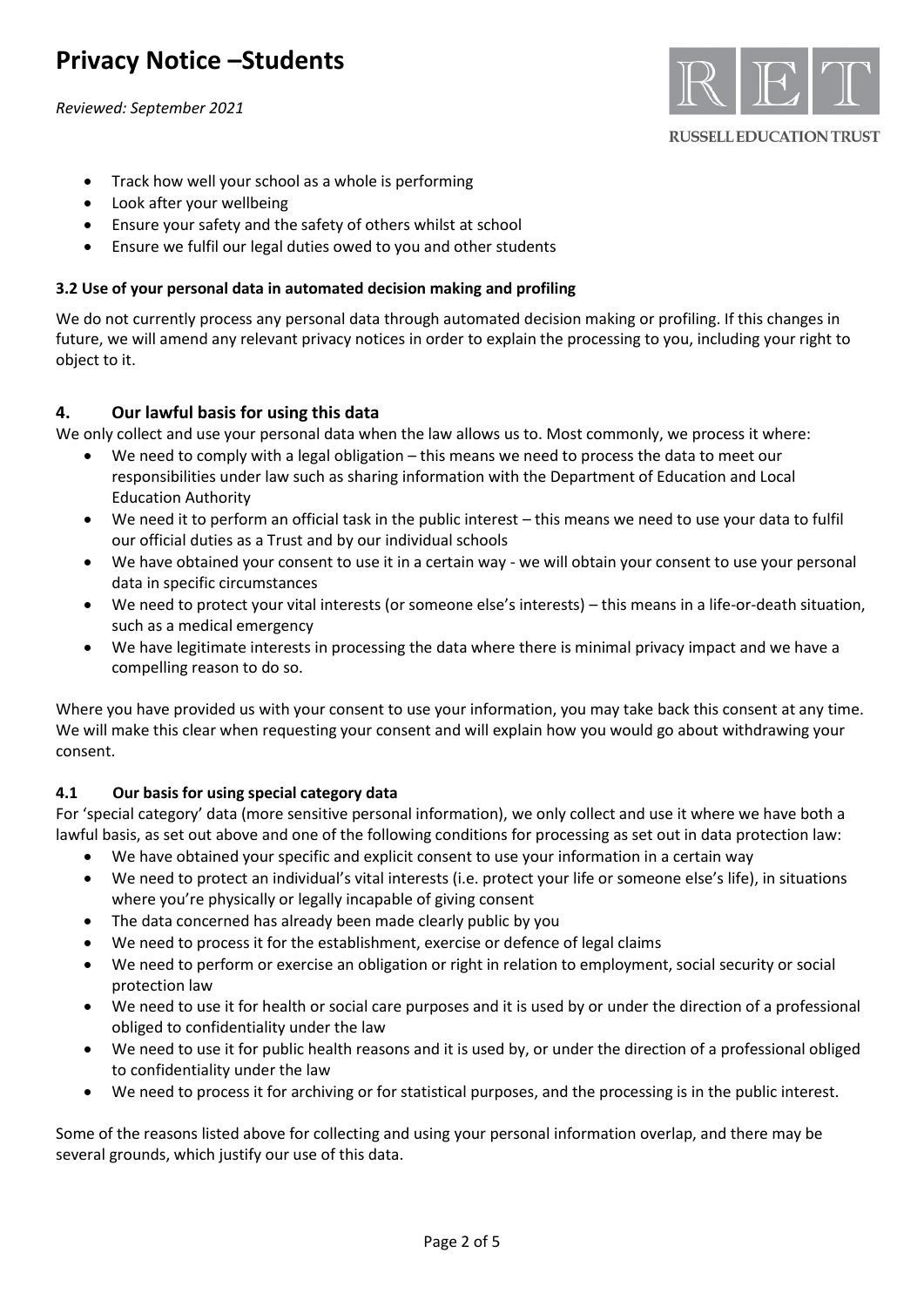*Reviewed: September 2021*



#### **RUSSELL EDUCATION TRUST**

- Track how well your school as a whole is performing
- Look after your wellbeing
- Ensure your safety and the safety of others whilst at school
- Ensure we fulfil our legal duties owed to you and other students

### **3.2 Use of your personal data in automated decision making and profiling**

We do not currently process any personal data through automated decision making or profiling. If this changes in future, we will amend any relevant privacy notices in order to explain the processing to you, including your right to object to it.

## **4. Our lawful basis for using this data**

We only collect and use your personal data when the law allows us to. Most commonly, we process it where:

- We need to comply with a legal obligation this means we need to process the data to meet our responsibilities under law such as sharing information with the Department of Education and Local Education Authority
- We need it to perform an official task in the public interest this means we need to use your data to fulfil our official duties as a Trust and by our individual schools
- We have obtained your consent to use it in a certain way we will obtain your consent to use your personal data in specific circumstances
- We need to protect your vital interests (or someone else's interests) this means in a life-or-death situation, such as a medical emergency
- We have legitimate interests in processing the data where there is minimal privacy impact and we have a compelling reason to do so.

Where you have provided us with your consent to use your information, you may take back this consent at any time. We will make this clear when requesting your consent and will explain how you would go about withdrawing your consent.

### **4.1 Our basis for using special category data**

For 'special category' data (more sensitive personal information), we only collect and use it where we have both a lawful basis, as set out above and one of the following conditions for processing as set out in data protection law:

- We have obtained your specific and explicit consent to use your information in a certain way
- We need to protect an individual's vital interests (i.e. protect your life or someone else's life), in situations where you're physically or legally incapable of giving consent
- The data concerned has already been made clearly public by you
- We need to process it for the establishment, exercise or defence of legal claims
- We need to perform or exercise an obligation or right in relation to employment, social security or social protection law
- We need to use it for health or social care purposes and it is used by or under the direction of a professional obliged to confidentiality under the law
- We need to use it for public health reasons and it is used by, or under the direction of a professional obliged to confidentiality under the law
- We need to process it for archiving or for statistical purposes, and the processing is in the public interest.

Some of the reasons listed above for collecting and using your personal information overlap, and there may be several grounds, which justify our use of this data.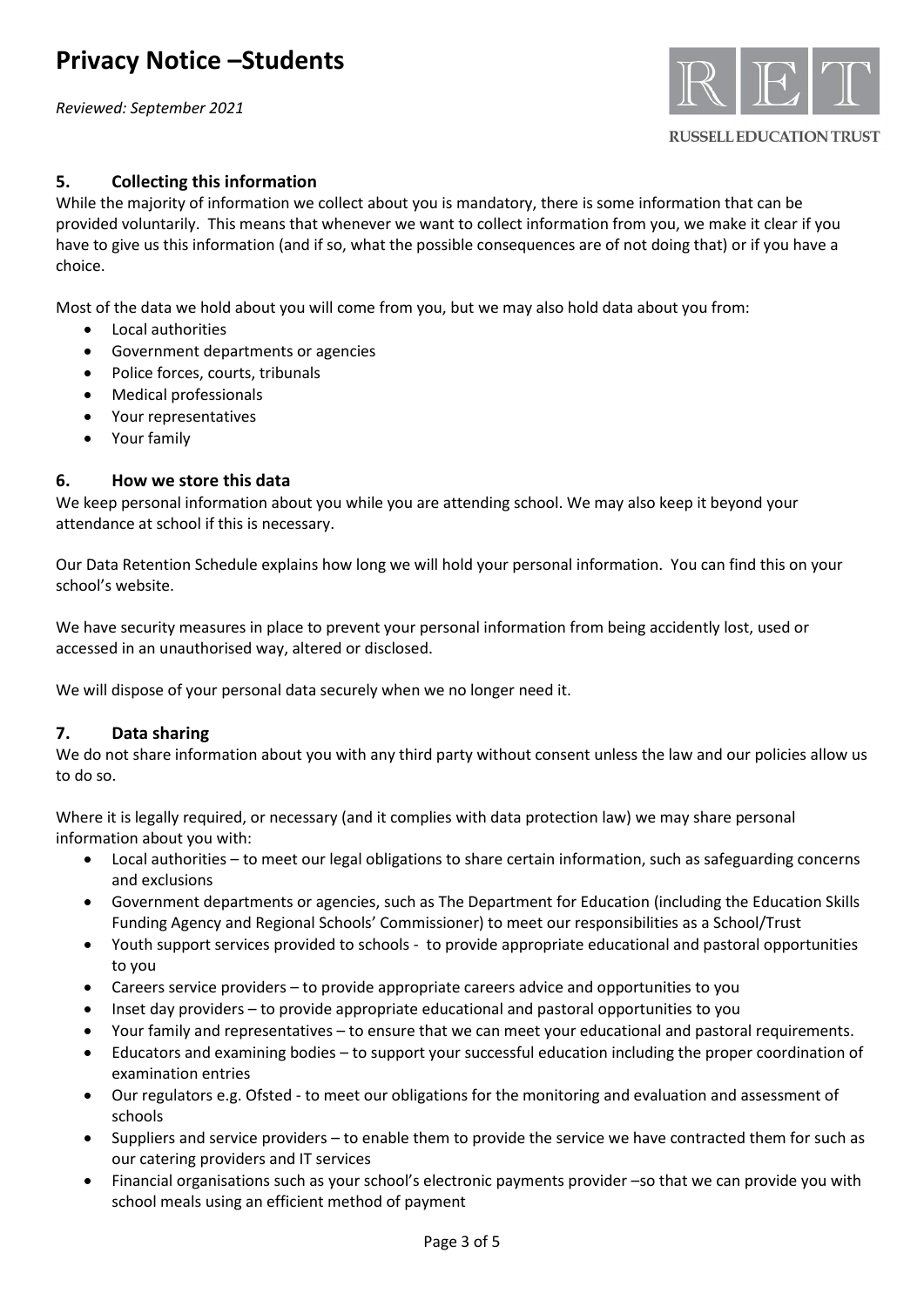*Reviewed: September 2021*



## **5. Collecting this information**

While the majority of information we collect about you is mandatory, there is some information that can be provided voluntarily. This means that whenever we want to collect information from you, we make it clear if you have to give us this information (and if so, what the possible consequences are of not doing that) or if you have a choice.

Most of the data we hold about you will come from you, but we may also hold data about you from:

- Local authorities
- Government departments or agencies
- Police forces, courts, tribunals
- Medical professionals
- Your representatives
- Your family

## **6. How we store this data**

We keep personal information about you while you are attending school. We may also keep it beyond your attendance at school if this is necessary.

Our Data Retention Schedule explains how long we will hold your personal information. You can find this on your school's website.

We have security measures in place to prevent your personal information from being accidently lost, used or accessed in an unauthorised way, altered or disclosed.

We will dispose of your personal data securely when we no longer need it.

### **7. Data sharing**

We do not share information about you with any third party without consent unless the law and our policies allow us to do so.

Where it is legally required, or necessary (and it complies with data protection law) we may share personal information about you with:

- Local authorities to meet our legal obligations to share certain information, such as safeguarding concerns and exclusions
- Government departments or agencies, such as The Department for Education (including the Education Skills Funding Agency and Regional Schools' Commissioner) to meet our responsibilities as a School/Trust
- Youth support services provided to schools to provide appropriate educational and pastoral opportunities to you
- Careers service providers to provide appropriate careers advice and opportunities to you
- Inset day providers to provide appropriate educational and pastoral opportunities to you
- Your family and representatives to ensure that we can meet your educational and pastoral requirements.
- Educators and examining bodies to support your successful education including the proper coordination of examination entries
- Our regulators e.g. Ofsted to meet our obligations for the monitoring and evaluation and assessment of schools
- Suppliers and service providers to enable them to provide the service we have contracted them for such as our catering providers and IT services
- Financial organisations such as your school's electronic payments provider –so that we can provide you with school meals using an efficient method of payment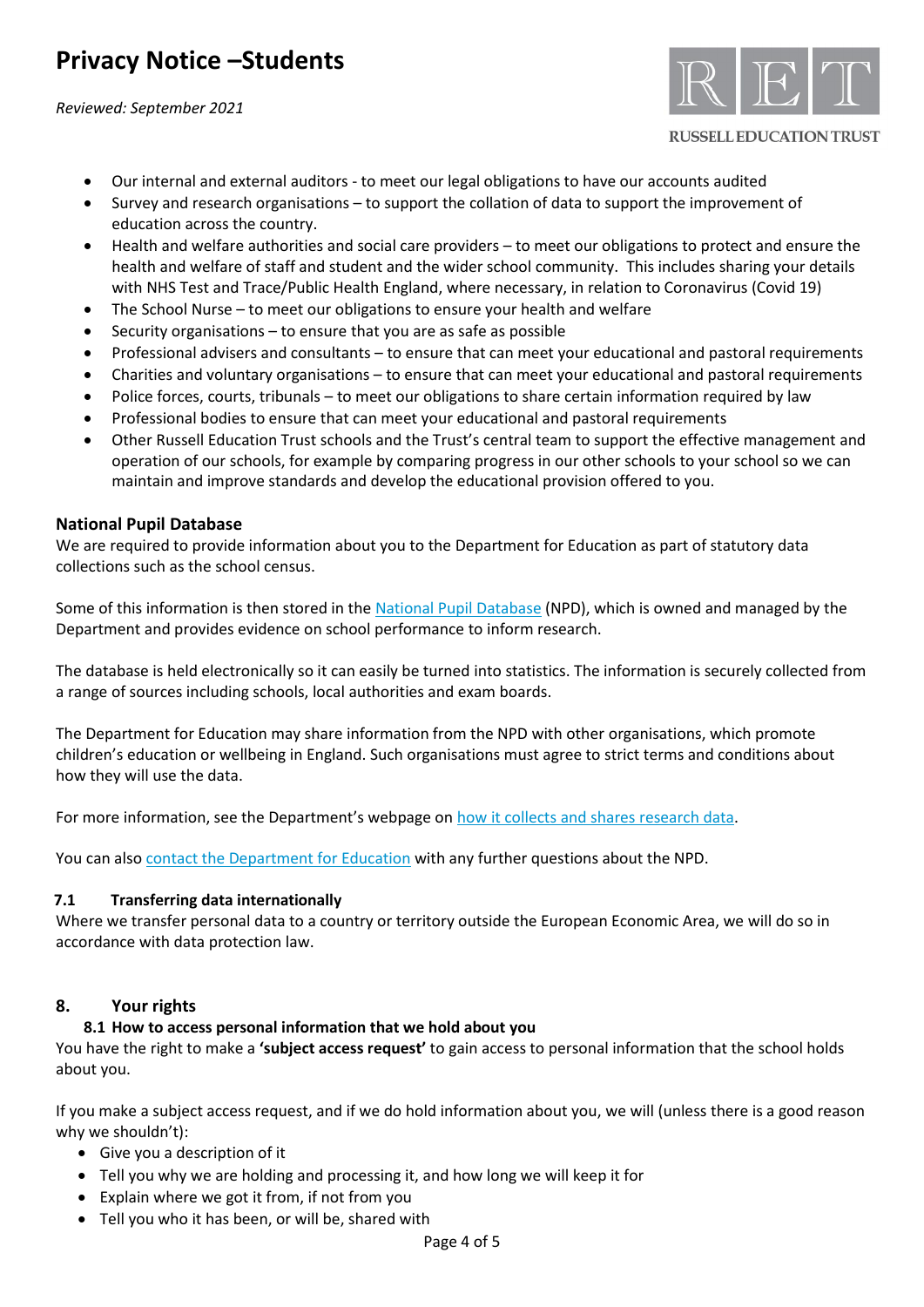*Reviewed: September 2021*



### **RUSSELL EDUCATION TRUST**

- Our internal and external auditors to meet our legal obligations to have our accounts audited
- Survey and research organisations to support the collation of data to support the improvement of education across the country.
- Health and welfare authorities and social care providers to meet our obligations to protect and ensure the health and welfare of staff and student and the wider school community. This includes sharing your details with NHS Test and Trace/Public Health England, where necessary, in relation to Coronavirus (Covid 19)
- The School Nurse to meet our obligations to ensure your health and welfare
- Security organisations  $-$  to ensure that you are as safe as possible
- Professional advisers and consultants to ensure that can meet your educational and pastoral requirements
- Charities and voluntary organisations to ensure that can meet your educational and pastoral requirements
- Police forces, courts, tribunals to meet our obligations to share certain information required by law
- Professional bodies to ensure that can meet your educational and pastoral requirements
- Other Russell Education Trust schools and the Trust's central team to support the effective management and operation of our schools, for example by comparing progress in our other schools to your school so we can maintain and improve standards and develop the educational provision offered to you.

### **National Pupil Database**

We are required to provide information about you to the Department for Education as part of statutory data collections such as the school census.

Some of this information is then stored in the [National Pupil](https://www.gov.uk/government/publications/national-pupil-database-user-guide-and-supporting-information) Database (NPD), which is owned and managed by the Department and provides evidence on school performance to inform research.

The database is held electronically so it can easily be turned into statistics. The information is securely collected from a range of sources including schools, local authorities and exam boards.

The Department for Education may share information from the NPD with other organisations, which promote children's education or wellbeing in England. Such organisations must agree to strict terms and conditions about how they will use the data.

For more information, see the Department's webpage on [how it collects and shares research data.](https://www.gov.uk/data-protection-how-we-collect-and-share-research-data)

You can also [contact the Department for Education](https://www.gov.uk/contact-dfe) with any further questions about the NPD.

### **7.1 Transferring data internationally**

Where we transfer personal data to a country or territory outside the European Economic Area, we will do so in accordance with data protection law.

### **8. Your rights**

### **8.1 How to access personal information that we hold about you**

You have the right to make a **'subject access request'** to gain access to personal information that the school holds about you.

If you make a subject access request, and if we do hold information about you, we will (unless there is a good reason why we shouldn't):

- Give you a description of it
- Tell you why we are holding and processing it, and how long we will keep it for
- Explain where we got it from, if not from you
- Tell you who it has been, or will be, shared with